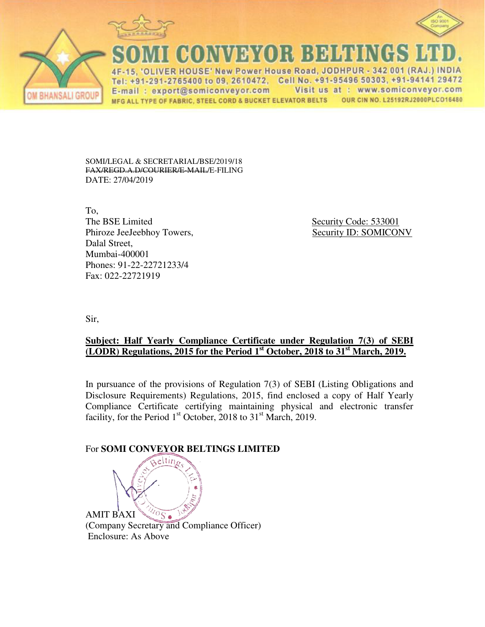



VDYOR BOHU

4F-15, 'OLIVER HOUSE' New Power House Road, JODHPUR - 342 001 (RAJ.) INDIA Tel: +91-291-2765400 to 09, 2610472. Cell No. +91-95496 50303, +91-94141 29472 Visit us at : www.somiconveyor.com E-mail: export@somiconveyor.com MFG ALL TYPE OF FABRIC, STEEL CORD & BUCKET ELEVATOR BELTS OUR CIN NO. L25192RJ2000PLCO16480

SOMI/LEGAL & SECRETARIAL/BSE/2019/18 FAX/REGD.A.D/COURIER/E-MAIL/E-FILING DATE: 27/04/2019

To, The BSE Limited Security Code: 533001 Phiroze JeeJeebhoy Towers, Security ID: SOMICONV Dalal Street, Mumbai-400001 Phones: 91-22-22721233/4 Fax: 022-22721919

Sir,

**ISALI GROI** 

## **Subject: Half Yearly Compliance Certificate under Regulation 7(3) of SEBI (LODR) Regulations, 2015 for the Period 1st October, 2018 to 31st March, 2019.**

In pursuance of the provisions of Regulation 7(3) of SEBI (Listing Obligations and Disclosure Requirements) Regulations, 2015, find enclosed a copy of Half Yearly Compliance Certificate certifying maintaining physical and electronic transfer facility, for the Period  $1<sup>st</sup>$  October, 2018 to 31<sup>st</sup> March, 2019.

## For **SOMI CONVEYOR BELTINGS LIMITED**